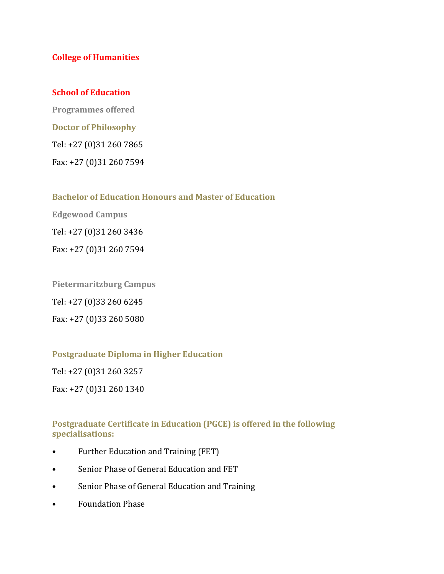#### **College of Humanities**

#### **School of Education**

**Programmes offered Doctor of Philosophy** Tel: +27 (0)31 260 7865 Fax: +27 (0)31 260 7594

**Bachelor of Education Honours and Master of Education**

**Edgewood Campus**

Tel: +27 (0)31 260 3436

Fax: +27 (0)31 260 7594

**Pietermaritzburg Campus**

Tel: +27 (0)33 260 6245

Fax: +27 (0)33 260 5080

#### **Postgraduate Diploma in Higher Education**

Tel: +27 (0)31 260 3257

Fax: +27 (0)31 260 1340

#### **Postgraduate Certificate in Education (PGCE) is offered in the following specialisations:**

- Further Education and Training (FET)
- Senior Phase of General Education and FET
- Senior Phase of General Education and Training
- Foundation Phase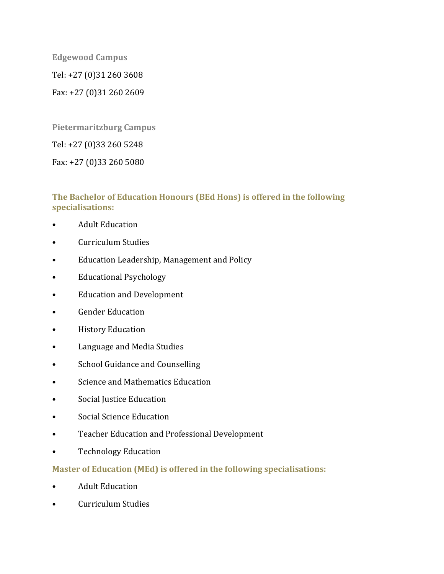**Edgewood Campus** Tel: +27 (0)31 260 3608 Fax: +27 (0)31 260 2609

**Pietermaritzburg Campus**

Tel: +27 (0)33 260 5248

Fax: +27 (0)33 260 5080

#### **The Bachelor of Education Honours (BEd Hons) is offered in the following specialisations:**

- Adult Education
- Curriculum Studies
- Education Leadership, Management and Policy
- Educational Psychology
- Education and Development
- Gender Education
- History Education
- Language and Media Studies
- School Guidance and Counselling
- Science and Mathematics Education
- Social Justice Education
- Social Science Education
- Teacher Education and Professional Development
- Technology Education

# **Master of Education (MEd) is offered in the following specialisations:**

- Adult Education
- Curriculum Studies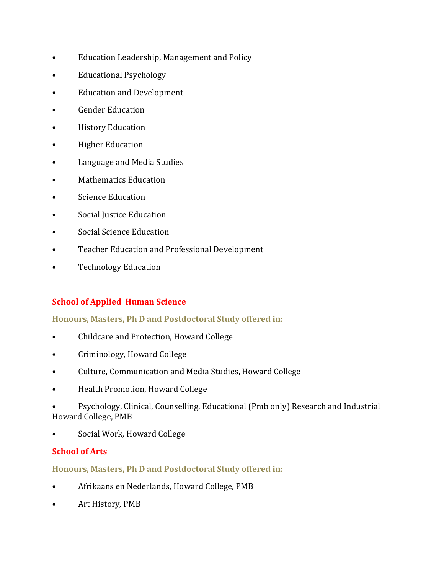- Education Leadership, Management and Policy
- Educational Psychology
- Education and Development
- Gender Education
- History Education
- Higher Education
- Language and Media Studies
- Mathematics Education
- Science Education
- Social Justice Education
- Social Science Education
- Teacher Education and Professional Development
- Technology Education

# **School of Applied Human Science**

# **Honours, Masters, Ph D and Postdoctoral Study offered in:**

- Childcare and Protection, Howard College
- Criminology, Howard College
- Culture, Communication and Media Studies, Howard College
- Health Promotion, Howard College
- Psychology, Clinical, Counselling, Educational (Pmb only) Research and Industrial Howard College, PMB
- Social Work, Howard College

# **School of Arts**

# **Honours, Masters, Ph D and Postdoctoral Study offered in:**

- Afrikaans en Nederlands, Howard College, PMB
- Art History, PMB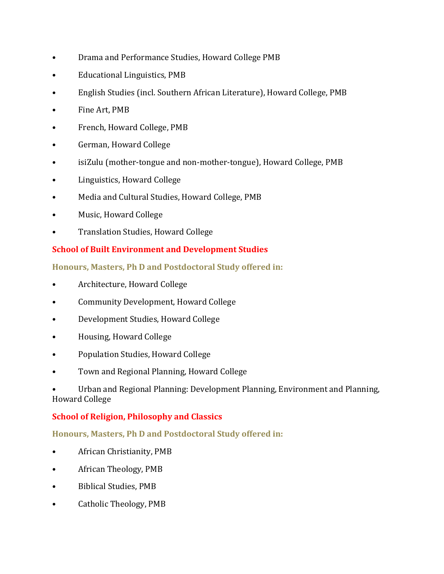- Drama and Performance Studies, Howard College PMB
- Educational Linguistics, PMB
- English Studies (incl. Southern African Literature), Howard College, PMB
- Fine Art, PMB
- French, Howard College, PMB
- German, Howard College
- isiZulu (mother-tongue and non-mother-tongue), Howard College, PMB
- Linguistics, Howard College
- Media and Cultural Studies, Howard College, PMB
- Music, Howard College
- Translation Studies, Howard College

# **School of Built Environment and Development Studies**

**Honours, Masters, Ph D and Postdoctoral Study offered in:**

- Architecture, Howard College
- Community Development, Howard College
- Development Studies, Howard College
- Housing, Howard College
- Population Studies, Howard College
- Town and Regional Planning, Howard College

• Urban and Regional Planning: Development Planning, Environment and Planning, Howard College

# **School of Religion, Philosophy and Classics**

# **Honours, Masters, Ph D and Postdoctoral Study offered in:**

- African Christianity, PMB
- African Theology, PMB
- Biblical Studies, PMB
- Catholic Theology, PMB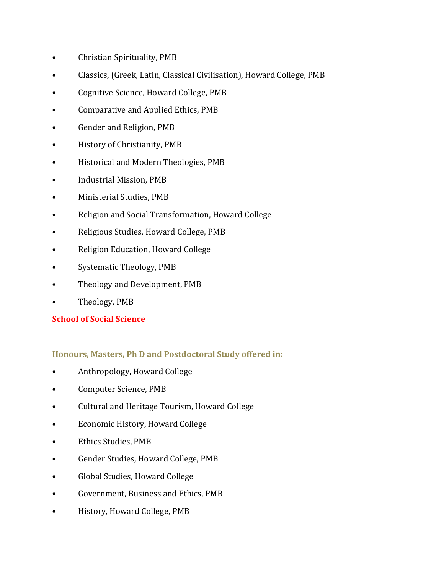- Christian Spirituality, PMB
- Classics, (Greek, Latin, Classical Civilisation), Howard College, PMB
- Cognitive Science, Howard College, PMB
- Comparative and Applied Ethics, PMB
- Gender and Religion, PMB
- History of Christianity, PMB
- Historical and Modern Theologies, PMB
- Industrial Mission, PMB
- Ministerial Studies, PMB
- Religion and Social Transformation, Howard College
- Religious Studies, Howard College, PMB
- Religion Education, Howard College
- Systematic Theology, PMB
- Theology and Development, PMB
- Theology, PMB

# **School of Social Science**

# **Honours, Masters, Ph D and Postdoctoral Study offered in:**

- Anthropology, Howard College
- Computer Science, PMB
- Cultural and Heritage Tourism, Howard College
- Economic History, Howard College
- Ethics Studies, PMB
- Gender Studies, Howard College, PMB
- Global Studies, Howard College
- Government, Business and Ethics, PMB
- History, Howard College, PMB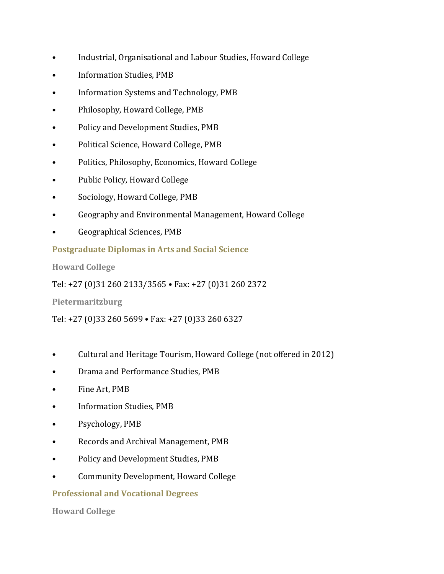- Industrial, Organisational and Labour Studies, Howard College
- Information Studies, PMB
- Information Systems and Technology, PMB
- Philosophy, Howard College, PMB
- Policy and Development Studies, PMB
- Political Science, Howard College, PMB
- Politics, Philosophy, Economics, Howard College
- Public Policy, Howard College
- Sociology, Howard College, PMB
- Geography and Environmental Management, Howard College
- Geographical Sciences, PMB

#### **Postgraduate Diplomas in Arts and Social Science**

**Howard College**

Tel: +27 (0)31 260 2133/3565 • Fax: +27 (0)31 260 2372

**Pietermaritzburg**

Tel: +27 (0)33 260 5699 • Fax: +27 (0)33 260 6327

- Cultural and Heritage Tourism, Howard College (not offered in 2012)
- Drama and Performance Studies, PMB
- Fine Art, PMB
- Information Studies, PMB
- Psychology, PMB
- Records and Archival Management, PMB
- Policy and Development Studies, PMB
- Community Development, Howard College

# **Professional and Vocational Degrees**

**Howard College**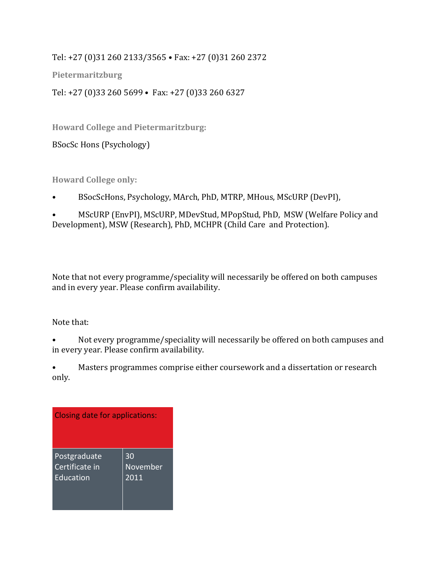Tel: +27 (0)31 260 2133/3565 • Fax: +27 (0)31 260 2372

**Pietermaritzburg**

Tel: +27 (0)33 260 5699 • Fax: +27 (0)33 260 6327

**Howard College and Pietermaritzburg:**

BSocSc Hons (Psychology)

**Howard College only:** 

• BSocScHons, Psychology, MArch, PhD, MTRP, MHous, MScURP (DevPI),

• MScURP (EnvPI), MScURP, MDevStud, MPopStud, PhD, MSW (Welfare Policy and Development), MSW (Research), PhD, MCHPR (Child Care and Protection).

Note that not every programme/speciality will necessarily be offered on both campuses and in every year. Please confirm availability.

Note that:

- Not every programme/speciality will necessarily be offered on both campuses and in every year. Please confirm availability.
- Masters programmes comprise either coursework and a dissertation or research only.

| Closing date for applications: |                 |  |
|--------------------------------|-----------------|--|
| Postgraduate                   | 30              |  |
| Certificate in                 | <b>November</b> |  |
| Education                      | 2011            |  |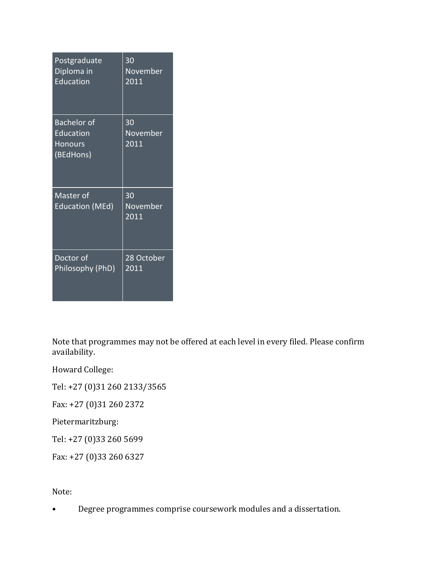| Postgraduate                                                   | $\overline{30}$        |
|----------------------------------------------------------------|------------------------|
| Diploma in                                                     | November               |
| Education                                                      | 2011                   |
| <b>Bachelor</b> of<br>Education<br><b>Honours</b><br>(BEdHons) | 30<br>November<br>2011 |
| Master of<br><b>Education (MEd)</b>                            | 30<br>November<br>2011 |
| Doctor of                                                      | 28 October             |
| Philosophy (PhD)                                               | 2011                   |

Note that programmes may not be offered at each level in every filed. Please confirm availability.

Howard College:

Tel: +27 (0)31 260 2133/3565

Fax: +27 (0)31 260 2372

Pietermaritzburg:

Tel: +27 (0)33 260 5699

Fax: +27 (0)33 260 6327

Note:

• Degree programmes comprise coursework modules and a dissertation.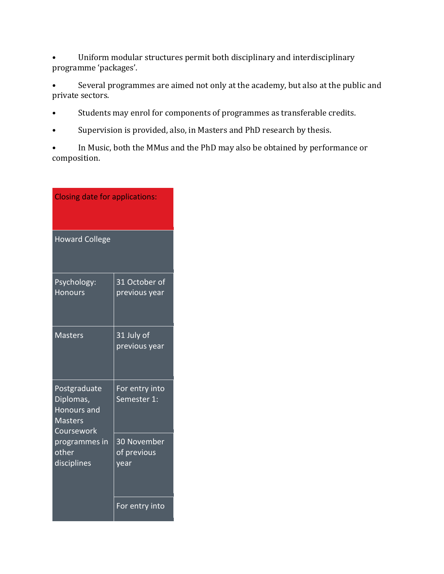• Uniform modular structures permit both disciplinary and interdisciplinary programme 'packages'.

• Several programmes are aimed not only at the academy, but also at the public and private sectors.

- Students may enrol for components of programmes as transferable credits.
- Supervision is provided, also, in Masters and PhD research by thesis.
- In Music, both the MMus and the PhD may also be obtained by performance or composition.

| <b>Closing date for applications:</b>                                                                                    |                                    |  |
|--------------------------------------------------------------------------------------------------------------------------|------------------------------------|--|
| <b>Howard College</b>                                                                                                    |                                    |  |
| Psychology:<br><b>Honours</b>                                                                                            | 31 October of<br>previous year     |  |
| <b>Masters</b>                                                                                                           | 31 July of<br>previous year        |  |
| Postgraduate<br>Diplomas,<br><b>Honours and</b><br><b>Masters</b><br>Coursework<br>programmes in<br>other<br>disciplines | For entry into<br>Semester 1:      |  |
|                                                                                                                          | 30 November<br>of previous<br>year |  |
|                                                                                                                          | For entry into                     |  |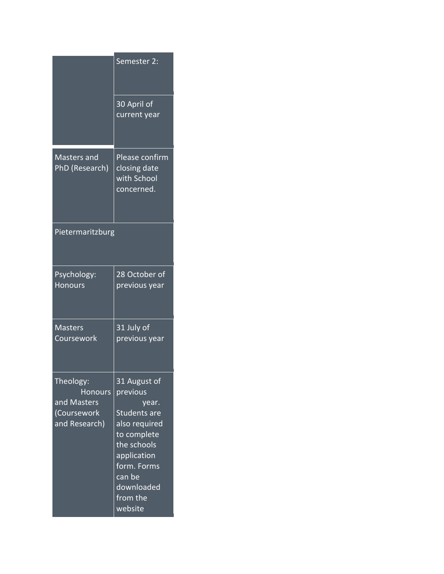|                                                                            | Semester 2:                                                                                                                                                                                                |
|----------------------------------------------------------------------------|------------------------------------------------------------------------------------------------------------------------------------------------------------------------------------------------------------|
|                                                                            | 30 April of<br>current year                                                                                                                                                                                |
| <b>Masters and</b><br>PhD (Research)                                       | <b>Please confirm</b><br>closing date<br>with School<br>concerned.                                                                                                                                         |
| Pietermaritzburg                                                           |                                                                                                                                                                                                            |
| Psychology:<br><b>Honours</b>                                              | 28 October of<br>previous year                                                                                                                                                                             |
| <b>Masters</b><br>Coursework                                               | 31 July of<br>previous year                                                                                                                                                                                |
| Theology:<br><b>Honours</b><br>and Masters<br>(Coursework<br>and Research) | 31 August of<br>previous<br>year.<br><b>Students are</b><br>also required<br>to complete<br>the schools<br>application<br>form. Forms<br>$\overline{\mathsf{can}}$ be<br>downloaded<br>from the<br>website |